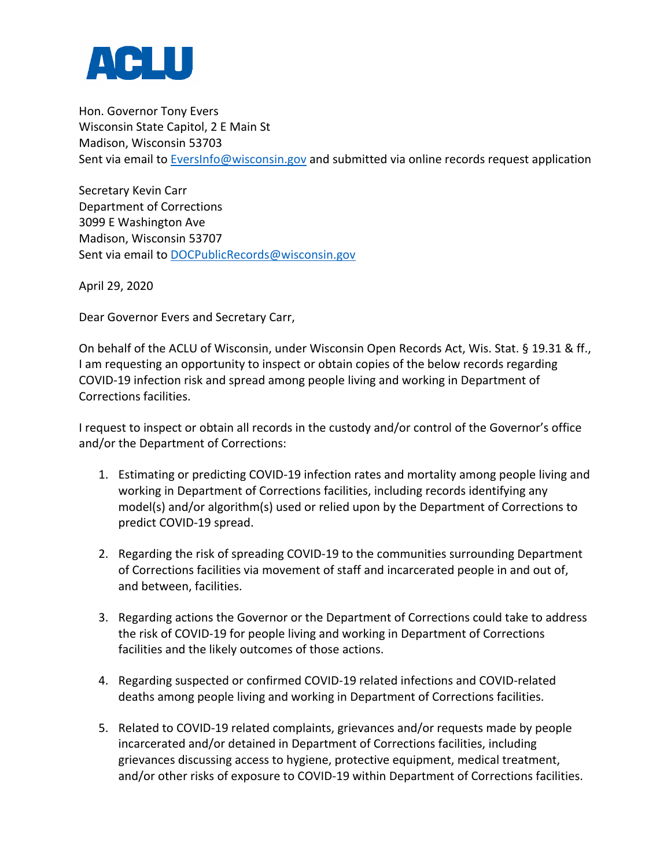

Hon. Governor Tony Evers Wisconsin State Capitol, 2 E Main St Madison, Wisconsin 53703 Sent via email t[o EversInfo@wisconsin.gov](mailto:EversInfo@wisconsin.gov) and submitted via online records request application

Secretary Kevin Carr Department of Corrections 3099 E Washington Ave Madison, Wisconsin 53707 Sent via email t[o DOCPublicRecords@wisconsin.gov](mailto:DOCPublicRecords@wisconsin.gov)

April 29, 2020

Dear Governor Evers and Secretary Carr,

On behalf of the ACLU of Wisconsin, under Wisconsin Open Records Act, Wis. Stat. § 19.31 & ff., I am requesting an opportunity to inspect or obtain copies of the below records regarding COVID-19 infection risk and spread among people living and working in Department of Corrections facilities.

I request to inspect or obtain all records in the custody and/or control of the Governor's office and/or the Department of Corrections:

- 1. Estimating or predicting COVID-19 infection rates and mortality among people living and working in Department of Corrections facilities, including records identifying any model(s) and/or algorithm(s) used or relied upon by the Department of Corrections to predict COVID-19 spread.
- 2. Regarding the risk of spreading COVID-19 to the communities surrounding Department of Corrections facilities via movement of staff and incarcerated people in and out of, and between, facilities.
- 3. Regarding actions the Governor or the Department of Corrections could take to address the risk of COVID-19 for people living and working in Department of Corrections facilities and the likely outcomes of those actions.
- 4. Regarding suspected or confirmed COVID-19 related infections and COVID-related deaths among people living and working in Department of Corrections facilities.
- 5. Related to COVID-19 related complaints, grievances and/or requests made by people incarcerated and/or detained in Department of Corrections facilities, including grievances discussing access to hygiene, protective equipment, medical treatment, and/or other risks of exposure to COVID-19 within Department of Corrections facilities.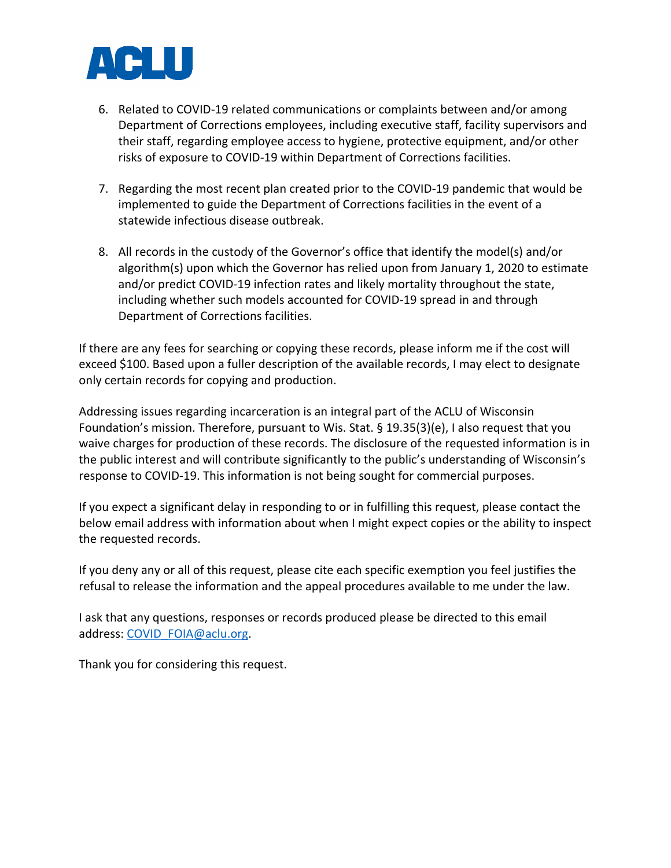

- 6. Related to COVID-19 related communications or complaints between and/or among Department of Corrections employees, including executive staff, facility supervisors and their staff, regarding employee access to hygiene, protective equipment, and/or other risks of exposure to COVID-19 within Department of Corrections facilities.
- 7. Regarding the most recent plan created prior to the COVID-19 pandemic that would be implemented to guide the Department of Corrections facilities in the event of a statewide infectious disease outbreak.
- 8. All records in the custody of the Governor's office that identify the model(s) and/or algorithm(s) upon which the Governor has relied upon from January 1, 2020 to estimate and/or predict COVID-19 infection rates and likely mortality throughout the state, including whether such models accounted for COVID-19 spread in and through Department of Corrections facilities.

If there are any fees for searching or copying these records, please inform me if the cost will exceed \$100. Based upon a fuller description of the available records, I may elect to designate only certain records for copying and production.

Addressing issues regarding incarceration is an integral part of the ACLU of Wisconsin Foundation's mission. Therefore, pursuant to Wis. Stat. § 19.35(3)(e), I also request that you waive charges for production of these records. The disclosure of the requested information is in the public interest and will contribute significantly to the public's understanding of Wisconsin's response to COVID-19. This information is not being sought for commercial purposes.

If you expect a significant delay in responding to or in fulfilling this request, please contact the below email address with information about when I might expect copies or the ability to inspect the requested records.

If you deny any or all of this request, please cite each specific exemption you feel justifies the refusal to release the information and the appeal procedures available to me under the law.

I ask that any questions, responses or records produced please be directed to this email address: [COVID\\_FOIA@aclu.org.](mailto:COVID_FOIA@aclu.org)

Thank you for considering this request.